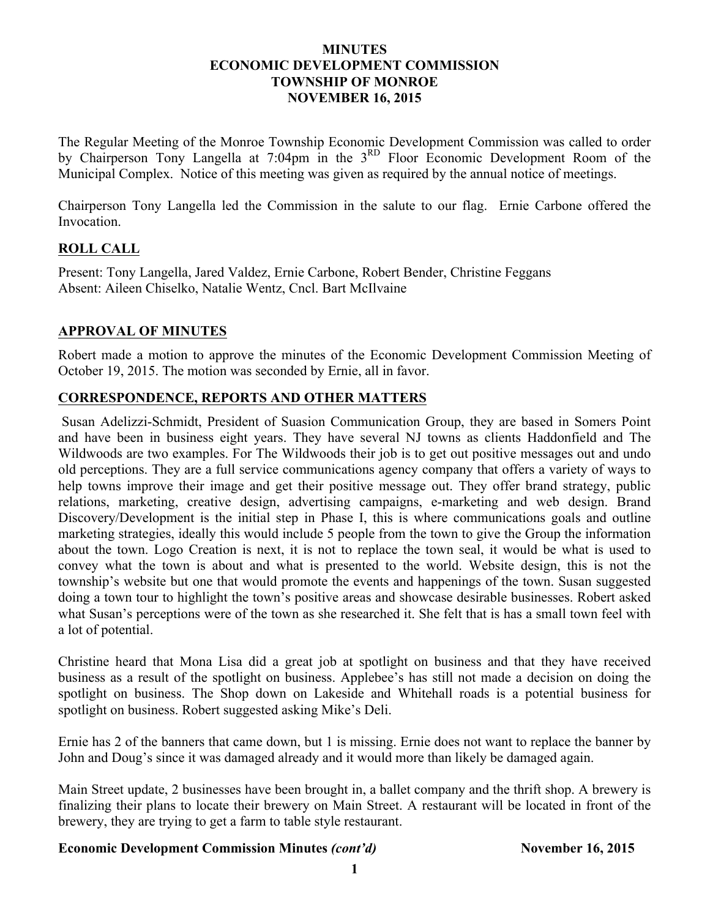#### **MINUTES ECONOMIC DEVELOPMENT COMMISSION TOWNSHIP OF MONROE NOVEMBER 16, 2015**

The Regular Meeting of the Monroe Township Economic Development Commission was called to order by Chairperson Tony Langella at 7:04pm in the 3<sup>RD</sup> Floor Economic Development Room of the Municipal Complex. Notice of this meeting was given as required by the annual notice of meetings.

Chairperson Tony Langella led the Commission in the salute to our flag. Ernie Carbone offered the Invocation.

### **ROLL CALL**

Present: Tony Langella, Jared Valdez, Ernie Carbone, Robert Bender, Christine Feggans Absent: Aileen Chiselko, Natalie Wentz, Cncl. Bart McIlvaine

#### **APPROVAL OF MINUTES**

Robert made a motion to approve the minutes of the Economic Development Commission Meeting of October 19, 2015. The motion was seconded by Ernie, all in favor.

#### **CORRESPONDENCE, REPORTS AND OTHER MATTERS**

Susan Adelizzi-Schmidt, President of Suasion Communication Group, they are based in Somers Point and have been in business eight years. They have several NJ towns as clients Haddonfield and The Wildwoods are two examples. For The Wildwoods their job is to get out positive messages out and undo old perceptions. They are a full service communications agency company that offers a variety of ways to help towns improve their image and get their positive message out. They offer brand strategy, public relations, marketing, creative design, advertising campaigns, e-marketing and web design. Brand Discovery/Development is the initial step in Phase I, this is where communications goals and outline marketing strategies, ideally this would include 5 people from the town to give the Group the information about the town. Logo Creation is next, it is not to replace the town seal, it would be what is used to convey what the town is about and what is presented to the world. Website design, this is not the township's website but one that would promote the events and happenings of the town. Susan suggested doing a town tour to highlight the town's positive areas and showcase desirable businesses. Robert asked what Susan's perceptions were of the town as she researched it. She felt that is has a small town feel with a lot of potential.

Christine heard that Mona Lisa did a great job at spotlight on business and that they have received business as a result of the spotlight on business. Applebee's has still not made a decision on doing the spotlight on business. The Shop down on Lakeside and Whitehall roads is a potential business for spotlight on business. Robert suggested asking Mike's Deli.

Ernie has 2 of the banners that came down, but 1 is missing. Ernie does not want to replace the banner by John and Doug's since it was damaged already and it would more than likely be damaged again.

Main Street update, 2 businesses have been brought in, a ballet company and the thrift shop. A brewery is finalizing their plans to locate their brewery on Main Street. A restaurant will be located in front of the brewery, they are trying to get a farm to table style restaurant.

#### **Economic Development Commission Minutes** *(cont'd)* **November 16, 2015**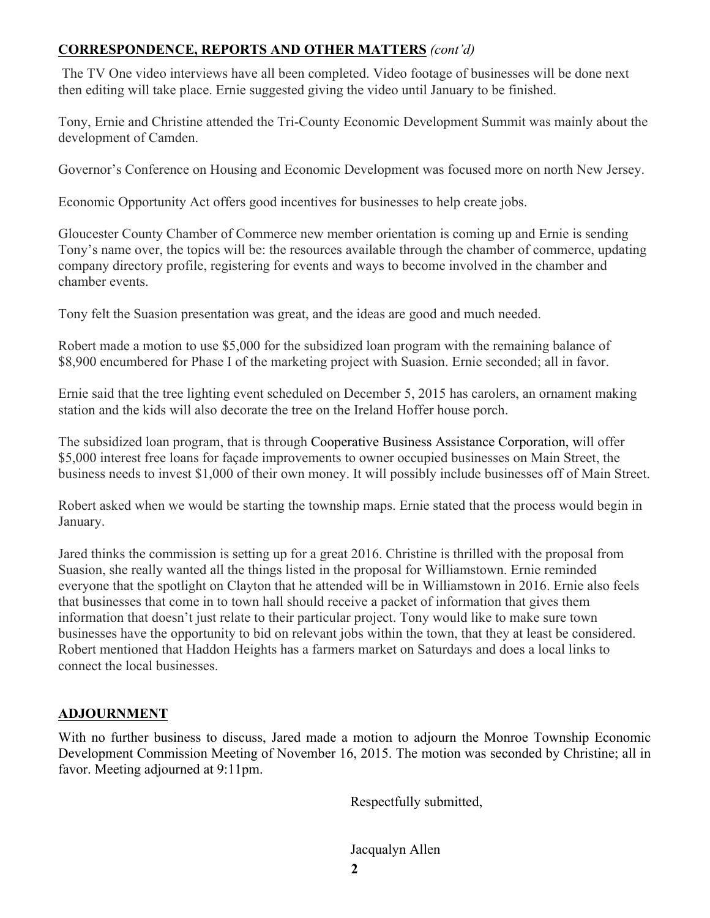## **CORRESPONDENCE, REPORTS AND OTHER MATTERS** *(cont'd)*

The TV One video interviews have all been completed. Video footage of businesses will be done next then editing will take place. Ernie suggested giving the video until January to be finished.

Tony, Ernie and Christine attended the Tri-County Economic Development Summit was mainly about the development of Camden.

Governor's Conference on Housing and Economic Development was focused more on north New Jersey.

Economic Opportunity Act offers good incentives for businesses to help create jobs.

Gloucester County Chamber of Commerce new member orientation is coming up and Ernie is sending Tony's name over, the topics will be: the resources available through the chamber of commerce, updating company directory profile, registering for events and ways to become involved in the chamber and chamber events.

Tony felt the Suasion presentation was great, and the ideas are good and much needed.

Robert made a motion to use \$5,000 for the subsidized loan program with the remaining balance of \$8,900 encumbered for Phase I of the marketing project with Suasion. Ernie seconded; all in favor.

Ernie said that the tree lighting event scheduled on December 5, 2015 has carolers, an ornament making station and the kids will also decorate the tree on the Ireland Hoffer house porch.

The subsidized loan program, that is through Cooperative Business Assistance Corporation, will offer \$5,000 interest free loans for façade improvements to owner occupied businesses on Main Street, the business needs to invest \$1,000 of their own money. It will possibly include businesses off of Main Street.

Robert asked when we would be starting the township maps. Ernie stated that the process would begin in January.

Jared thinks the commission is setting up for a great 2016. Christine is thrilled with the proposal from Suasion, she really wanted all the things listed in the proposal for Williamstown. Ernie reminded everyone that the spotlight on Clayton that he attended will be in Williamstown in 2016. Ernie also feels that businesses that come in to town hall should receive a packet of information that gives them information that doesn't just relate to their particular project. Tony would like to make sure town businesses have the opportunity to bid on relevant jobs within the town, that they at least be considered. Robert mentioned that Haddon Heights has a farmers market on Saturdays and does a local links to connect the local businesses.

# **ADJOURNMENT**

With no further business to discuss, Jared made a motion to adjourn the Monroe Township Economic Development Commission Meeting of November 16, 2015. The motion was seconded by Christine; all in favor. Meeting adjourned at 9:11pm.

Respectfully submitted,

Jacqualyn Allen